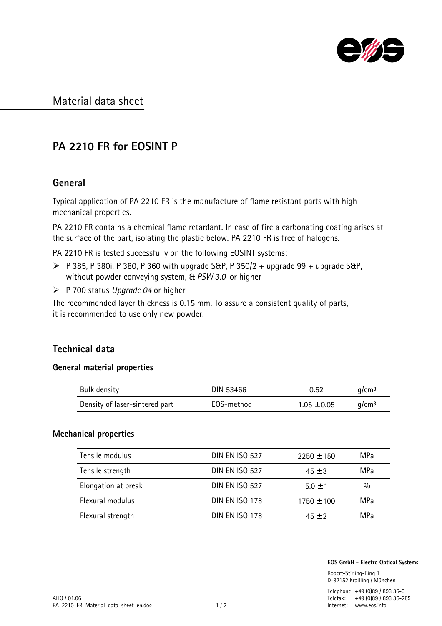

## Material data sheet

# PA 2210 FR for EOSINT P

### General

Typical application of PA 2210 FR is the manufacture of flame resistant parts with high mechanical properties.

PA 2210 FR contains a chemical flame retardant. In case of fire a carbonating coating arises at the surface of the part, isolating the plastic below. PA 2210 FR is free of halogens.

PA 2210 FR is tested successfully on the following EOSINT systems:

- $\triangleright$  P 385, P 380i, P 380, P 360 with upgrade S&P, P 350/2 + upgrade 99 + upgrade S&P, without powder conveying system, & *PSW 3.0* or higher
- ÿ P 700 status *Upgrade 04* or higher

The recommended layer thickness is 0.15 mm. To assure a consistent quality of parts, it is recommended to use only new powder.

### Technical data

#### General material properties

| Bulk density                   | DIN 53466  | 0.52            | q/cm <sup>3</sup> |
|--------------------------------|------------|-----------------|-------------------|
| Density of laser-sintered part | EOS-method | $1.05 \pm 0.05$ | g/cm <sup>3</sup> |

#### Mechanical properties

| Tensile modulus     | <b>DIN EN ISO 527</b> | $2250 \pm 150$ | MPa           |
|---------------------|-----------------------|----------------|---------------|
| Tensile strength    | <b>DIN EN ISO 527</b> | $45 + 3$       | MPa           |
| Elongation at break | <b>DIN EN ISO 527</b> | $5.0 + 1$      | $\frac{0}{0}$ |
| Flexural modulus    | DIN EN ISO 178        | $1750 \pm 100$ | MPa           |
| Flexural strength   | <b>DIN EN ISO 178</b> | $45 + 2$       | MPa           |

EOS GmbH - Electro Optical Systems